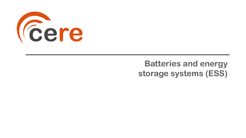

## **Batteries and energy storage systems (ESS)**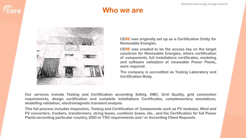

### **Who we are**



**CERE was originally set up as a Certification Entity for Renewable Energies.**

**CERE was created to be the access key on the target countries for Renewable Energies, where certification of components, full installations certificates, modeling and software validation of renewable Power Plants, were required.**

**The company is accredited as Testing Laboratory and Certification Body.**

**Our services include Testing and Certification according Safety, EMC, Grid Quality, grid connection requirements, design certification and complete installations Certificates, complementary simulations, modelling validation, electromagnetic transient analysis.**

**This full process includes Inspection, Testing and Certification of Components such as PV modules, Wind and PV converters, trackers, transformers, string boxes, combiner boxes, etc., and the Certification for full Power Plants according particular country, DSO or TSO requirements and / or According Client Requests**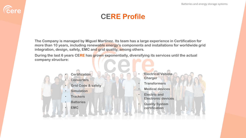### **CERE Profile**

**The Company is managed by Miguel Martínez. Its team has a large experience in Certification for more than 10 years, including renewable energy's components and installations for worldwide grid integration, design, safety, EMC and grid quality, among others.**

**During the last 6 years CERE has grown exponentially, diversifying its services until the actual company structure:**

- **Certification** • **Converters**
- **Grid Code & safety**
- **Simulation**
- **Trackers**
- **Batteries**
- **EMC**

*Cere* 

- **Electrical Vehicle Charger**
- **Transformers**
- **Medical devices**
- **Electric and Electronic devices**
- **Quality System certification**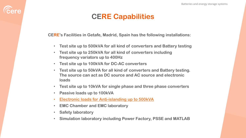### **CERE Capabilities**

**CERE's Facilities in Getafe, Madrid, Spain has the following installations:**

- **Test site up to 500kVA for all kind of converters and Battery testing**
- **Test site up to 250kVA for all kind of converters including frequency variators up to 400Hz**
- **Test site up to 100kVA for DC-AC converters**
- **Test site up to 50kVA for all kind of converters and Battery testing. The source can act as DC source and AC source and electronic loads**
- **Test site up to 10kVA for single phase and three phase converters**
- **Passive loads up to 100kVA**
- **Electronic loads for Anti-islanding up to 500kVA**
- **EMC Chamber and EMC laboratory**
- **Safety laboratory**

**Eere** 

• **Simulation laboratory including Power Factory, PSSE and MATLAB**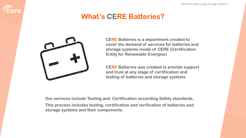

## **What's CERE Batteries?**



**CERE Batteries is a department created to cover the demand of services for batteries and storage systems inside of CERE (Certification Entity for Renewable Energies)**

**CERE Batteries was created to provide support and trust at any stage of certification and testing of batteries and storage systems** 

**Our services include Testing and Certification according Safety standards. This process includes testing, certification and verification of batteries and storage systems and their components.**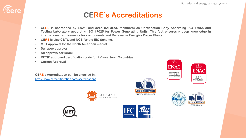### **CERE's Accreditations**

- **CERE is accredited by ENAC and a2La (IAF/ILAC members) as Certification Body According ISO 17065 and Testing Laboratory according ISO 17025 for Power Generating Units. This fact ensures a deep knowledge in international requirements for components and Renewable Energies Power Plants.**
- **CERE is also CBTL and NCB for the IEC Scheme.**
- **MET approval for the North American market**
- **Sunspec approval**

**Eere** 

- **SII approval for Israel**
- **RETIE approved certification body for PV inverters (Colombia)**
- **Corean Approval**

**CERE's Accreditation can be checked in:** <http://www.cerecertification.com/accreditations>













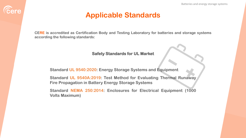### **Applicable Standards**

**Eere** 

**CERE is accredited as Certification Body and Testing Laboratory for batteries and storage systems according the following standards:**

#### **Safety Standards for UL Market**

**Standard UL 9540:2020: Energy Storage Systems and Equipment**

**Standard UL 9540A:2019: Test Method for Evaluating Thermal Runaway Fire Propagation in Battery Energy Storage Systems**

**Standard NEMA 250:2014: Enclosures for Electrical Equipment (1000 Volts Maximum)**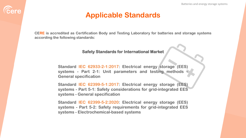### **Applicable Standards**

**Eere** 

**CERE is accredited as Certification Body and Testing Laboratory for batteries and storage systems according the following standards:**

**Safety Standards for International Market** 

**Standard IEC 62933-2-1:2017: Electrical energy storage (EES) systems - Part 2-1: Unit parameters and testing methods - General specification**

**Standard IEC 62399-5-1:2017: Electrical energy storage (EES) systems - Part 5-1: Safety considerations for grid-integrated EES systems - General specification**

**Standard IEC 62399-5-2:2020: Electrical energy storage (EES) systems - Part 5-2: Safety requirements for grid-integrated EES systems - Electrochemical-based systems**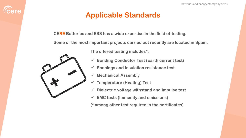### **Applicable Standards**

**CERE Batteries and ESS has a wide expertise in the field of testing.**

**Some of the most important projects carried out recently are located in Spain.**



*<u>Cere</u>* 

**The offered testing includes\*:**

- ✓ **Bonding Conductor Test (Earth current test)**
- ✓ **Spacings and Insulation resistance test**
- ✓ **Mechanical Assembly**
- ✓ **Temperature (Heating) Test**
- ✓ **Dielectric voltage withstand and Impulse test**
- ✓ **EMC tests (Immunity and emissions)**

**(\* among other test required in the certificates)**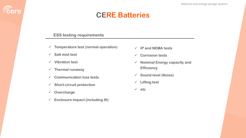### **CERE Batteries**

#### **ESS testing requirements**

- ✓ **Temperature test (normal operation)**
- ✓ **Salt mist test**

**Eere** 

- ✓ **Vibration test**
- ✓ **Thermal runaway**
- ✓ **Communication loss tests**
- ✓ **Short-circuit protection**
- ✓ **Overcharge**
- ✓ **Enclosure impact (including IK)**
- ✓ **IP and NEMA tests**
- ✓ **Corrosion tests**
- ✓ **Nominal Energy capacity and Efficiency**
- ✓ **Sound level (Noise)**
- ✓ **Lifting test**
- ✓ **etc**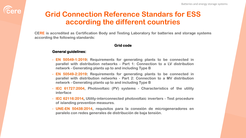## **Grid Connection Reference Standars for ESS according the different countries**

**CERE is accredited as Certification Body and Testing Laboratory for batteries and storage systems according the following standards:**

#### **Grid code**

#### **General guidelines:**

- **- EN 50549-1:2019: Requirements for generating plants to be connected in parallel with distribution networks - Part 1: Connection to a LV distribution network - Generating plants up to and including Type B**
- **- EN 50549-2:2019: Requirements for generating plants to be connected in parallel with distribution networks - Part 2: Connection to a MV distribution network - Generating plants up to and including Type B**
- **- IEC 61727:2004, Photovoltaic (PV) systems - Characteristics of the utility interface**
- **- IEC 62116:2014, Utility-interconnected photovoltaic inverters - Test procedure of islanding prevention measures.**
- **- UNE-EN 50438:2014, requisitos para la conexión de microgeneradores en paralelo con redes generales de distribución de baja tensión.**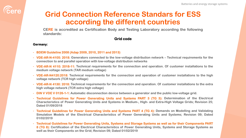## *<u>Cere</u>*

## **Grid Connection Reference Standars for ESS according the different countries**

**CERE is accredited as Certification Body and Testing Laboratory according the following standards:**

#### **Grid code**

#### **Germany:**

- **- BDEW Guideline 2008 (Adap 2009, 2010, 2011 and 2013)**
- **- VDE-AR-N-4105: 2018: Generators connected to the low-voltage distribution network – Technical requirements for the connection to and parallel operation with low-voltage distribution networks**
- VDE-AR-N 4110: 2018-11: Technical requirements for the connection and operation. Of customer installations to the **medium voltage network (TAR medium voltage)**
- **- VDE-AR-N4120:2018: Technical requirements for the connection and operation of customer installations to the high voltage network (TCR high voltage)**
- VDE-AR-N 4130: 2018: Technical requirements for the connection and operation. Of customer installations to the extra **high voltage network (TCR extra high voltage)**
- DIN V VDE V 0126-1-1: Automatic disconnection device between a generator and the public low-voltage grid.
- Technical Guidelines for Power Generating Units and Systems PART 3 (TG 3): Determination of the Electrical Characteristics of Power Generating Units and Systems in Medium-, High- and Extra-High Voltage Grids; Revision 25; **Dated 01/09/2018**
- Technical Guidelines for Power Generating Units and Systems PART 4 (TG 4): Demands on Modelling and Validating **Simulation Models of the Electrical Characteristics of Power Generating Units and Systems; Revision 09; Dated 01/02/2019**
- Technical Guidelines for Power Generating Units, Systems and Storage Systems as well as for their Components PART 8 (TG 8): Certification of the Electrical Characteristics of Power Generating Units, Systems and Storage Systems as **well as their Components on the Grid; Revision 09; Dated 01/02/2019**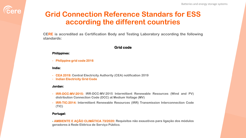

## **Grid Connection Reference Standars for ESS according the different countries**

**CERE is accredited as Certification Body and Testing Laboratory according the following standards:**

#### **Grid code**

#### **Philippines:**

**- Philippine grid code 2016**

**India:**

- **- CEA 2019: Central Electricity Authority (CEA) notification 2019**
- **- Indian Electricity Grid Code**

#### **Jordan:**

- **- IRR-DCC-MV:2015: IRR-DCC-MV:2015 Intermittent Renewable Resources (Wind and PV) distribution Connection Code (DCC) at Medium Voltage (MV)**
- **- IRR-TIC:2014: Intermittent Renewable Resources (IRR) Transmission Interconnection Code (TIC)**

#### **Portugal:**

**- AMBIENTE E AÇÃO CLIMÁTICA 73/2020: Requisitos não exaustivos para ligação dos módulos geradores à Rede Elétrica de Serviço Público.**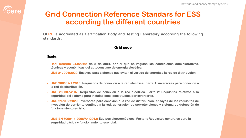## **Grid Connection Reference Standars for ESS according the different countries**

**CERE is accredited as Certification Body and Testing Laboratory according the following standards:**

#### **Grid code**

#### **Spain:**

- **- Real Decreto 244/2019: de 5 de abril, por el que se regulan las condiciones administrativas, técnicas y económicas del autoconsumo de energía eléctrica.**
- **- UNE 217001:2020: Ensayos para sistemas que eviten el vertido de energía a la red de distribución.**
- **- UNE 206007-1:2013: Requisitos de conexión a la red eléctrica. parte 1: inversores para conexión a la red de distribución.**
- **- UNE 206007-2 IN: Requisitos de conexión a la red eléctrica. Parte 2: Requisitos relativos a la seguridad del sistema para instalaciones constituidas por inversores.**
- **- UNE 217002:2020: Inversores para conexión a la red de distribución. ensayos de los requisitos de inyección de corriente continua a la red, generación de sobretensiones y sistema de detección de funcionamiento en isla.**
- **- UNE-EN 60601-1:2006/A1:2013: Equipos electromédicos. Parte 1: Requisitos generales para la seguridad básica y funcionamiento esencial.**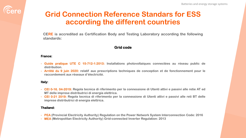## **Grid Connection Reference Standars for ESS according the different countries**

**CERE is accredited as Certification Body and Testing Laboratory according the following standards:**

#### **Grid code**

#### **France:**

- **- Guide pratique UTE C 15-712-1:2013: Installations photovoltaïques connectées au réseau public de distribution.**
- **- Arrêté du 9 juin 2020: relatif aux prescriptions techniques de conception et de fonctionnement pour le raccordement aux réseaux d'électricité.**

#### **Italy:**

- CEI 0-16. 04-2019: Regola tecnica di riferimento per la connessione di Utenti attivi e passivi alle retie AT ed **MT delle imprese distributrici di energía elettrica.**
- CEI 0-21 2019: Regola tecnica di riferimento per la connessione di Utenti attivi e passivi alle reti BT delle **imprese distributrici di energia elettrica.**

#### **Thailand:**

- **- PEA (Provincial Electricity Authority) Regulation on the Power Network System Interconnection Code: 2016**
- **- MEA (Metropolitan Electricity Authority) Grid-connected Inverter Regulation: 2013**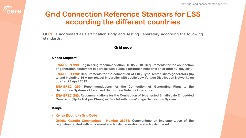## **Grid Connection Reference Standars for ESS according the different countries**

**CERE is accredited as Certification Body and Testing Laboratory according the following standards:**

#### **Grid code**

#### **United Kingdom:**

**Eere** 

- **- ENA-EREC G99: Engineering recommendation. 16.05.2018. Requirements for the connection of generation equipment in parallel with public distribution networks on or after 17 May 2019.**
- **- ENA-EREC G98: Requirements for the connection of Fully Type Tested Micro-generators (up to and including 16 A per phase) in parallel with public Low Voltage Distribution Networks on or after 27 April 2019**
- **- ENA-EREC G59: Recommendations for the Connection of Generating Plant to the Distribution Systems of Licensed Distribution Network Operators.**
- **- ENA-EREC G83: Recommendations for the Connection of type tested Small-scale Embedded Generator (Up to 16A per Phase) in Parallel with Low-Voltage Distribution System.**

#### **Kenya:**

- **- Kenya Electricity Grid Code**
- **- Official Gazette Communique - Number 28783: Communique on implementation of the regulation related with unlicensed electricity generation in electricity market.**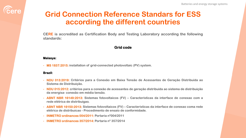## *<u>Cere</u>*

## **Grid Connection Reference Standars for ESS according the different countries**

**CERE is accredited as Certification Body and Testing Laboratory according the following standards:**

#### **Grid code**

#### **Malasya:**

**- MS 1837:2015: installation of grid-connected photovoltaic (PV) system.**

#### **Brazil:**

- **- NDU 013:2019: Critérios para a Conexão em Baixa Tensão de Acessantes de Geração Distribuída ao Sistema de Distribuição.**
- **- NDU 015:2012: critérios para a conexão de acessantes de geração distribuída ao sistema de distribuição da energisa- conexão em média tensão.**
- **- ABNT NBR 16149:2013: Sistemas fotovoltaicos (FV) – Características da interface de conexao com a rede elétrica de distribuigao.**
- **- ABNT NBR 16150:2013: Sistemas fotovoltaicos (FV) – Características da interface de conexao coma rede elétrica de distribuicao - Procedimento de ensaio de conformidade.**
- **- INMETRO ordinances 004/2011: Portaria nº004/2011**
- **- INMETRO ordinances 357/2014: Portaria nº 357/2014**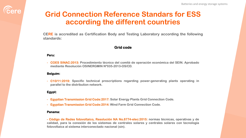## **Grid Connection Reference Standars for ESS according the different countries**

**CERE is accredited as Certification Body and Testing Laboratory according the following standards:**

#### **Grid code**

#### **Peru:**

**- COES SINAC:2013: Procedimiento técnico del comité de operación económica del SEIN. Aprobado mediante Resolución OSINERGMIN Nº035-2013-OS/CD.**

#### **Belguim:**

**- C10/11:2019: Specific technical prescriptions regarding power-generating plants operating in parallel to the distribution network.**

#### **Egypt:**

- **- Egyptian Transmission Grid Code:2017: Solar Energy Plants Grid Connection Code.**
- **- Egyptian Transmission Grid Code:2014: Wind Farm Grid Connection Code.**

#### **Panama:**

**- Código de Redes fotovoltaico, Resolución NA No.8774-elec:2015: normas técnicas, operativas y de calidad, para la conexión de los sistemas de centrales solares y centrales solares con tecnología fotovoltaica al sistema interconectado nacional (sin).**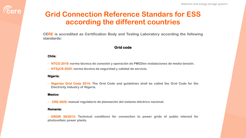## **Grid Connection Reference Standars for ESS according the different countries**

**CERE is accredited as Certification Body and Testing Laboratory according the following standards:**

#### **Grid code**

#### **Chile:**

- **- NTCO:2019: norma técnica de conexión y operación de PMGDen instalaciones de media tensión.**
- **- NTSyCS:2020: norma técnica de seguridad y calidad de servicio.**

#### **Nigeria:**

**- Nigerian Grid Code 2014: The Grid Code and guidelines shall be called the Grid Code for the Electricity Industry of Nigeria.**

#### **Mexico:**

**- CRE-3025: manual regulatorio de planeación del sistema eléctrico nacional.**

#### **Romania:**

**- ORDIR 30/2013: Technical conditions for connection to power grids of public interest for photovoltaic power plants.**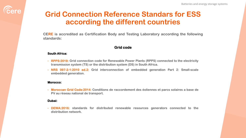## **Grid Connection Reference Standars for ESS according the different countries**

**CERE is accredited as Certification Body and Testing Laboratory according the following standards:**

#### **Grid code**

#### **South Africa:**

- **- RPPS:2019: Grid connection code for Renewable Power Plants (RPPS) connected to the electricity transmission system (TS) or the distribution system (DS) in South Africa.**
- **- NRS 097-2-1:2010 ed.2: Grid interconnection of embedded generation Part 2: Small-scale embedded generation.**

#### **Morocco:**

**- Moroccan Grid Code:2014: Conditions de raccordement des éoliennes et parcs solaires a base de PV au réseau national de transport.**

#### **Dubai:**

**- DEWA:2016: standards for distributed renewable resources generators connected to the distribution network.**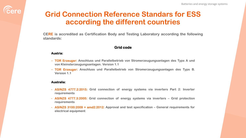### **Grid Connection Reference Standars for ESS according the different countries**

**CERE is accredited as Certification Body and Testing Laboratory according the following standards:**

#### **Grid code**

#### **Austria:**

- **– TOR Erzeuger: Anschluss und Parallelbetrieb von Stromerzeugungsanlagen des Typs A und von Kleinsterzeugungsanlagen. Version 1.1**
- **– TOR Erzeuger: Anschluss und Parallelbetrieb von Stromerzeugungsanlagen des Typs B. Version 1.1**

#### **Australia:**

- **- AS/NZS 4777.2:2015: Grid connection of energy systems via inverters Part 2: Inverter requirements**
- **- AS/NZS 4777.3:2005: Grid connection of energy systems via inverters – Grid protection requirements**
- **- AS/NZS 3100:2009 + amd2:2012: Approval and test specification – General requirements for electrical equipment**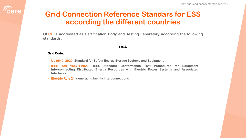## **Grid Connection Reference Standars for ESS according the different countries**

**CERE is accredited as Certification Body and Testing Laboratory according the following standards:**

#### **USA**

#### **Grid Code:**

- **- UL 9540: 2020: Standard for Safety Energy Storage Systems and Equipment.**
- **- IEEE Std 1547.1**‐**2020: IEEE Standard Conformance Test Procedures for Equipment Interconnecting Distributed Energy Resources with Electric Power Systems and Associated Interfaces**
- **- Electric Rule 21: generating facility interconnections.**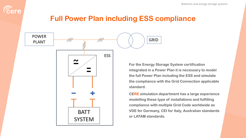

## **Full Power Plan including ESS compliance**

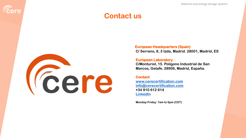Batteries and energy storage systems

### **Contact us**



**Eere** 

**European Headquarters (Spain) C/ Serrano, 8, 3 Izda, Madrid. 28001, Madrid, ES**

#### **European Laboratory**

**C/Monturiol, 15. Polígono Industrial de San Marcos, Getafe. 28906, Madrid, España.**

#### **Contact**

**[www.cerecertification.com](http://www.cerecertification.com/) [info@cerecertification.com](mailto:info@cerecertification.com) +34 910 612 614 [LinkedIn](https://www.linkedin.com/company/cerecertification)**

**Monday-Friday: 7am to 6pm (CET)**